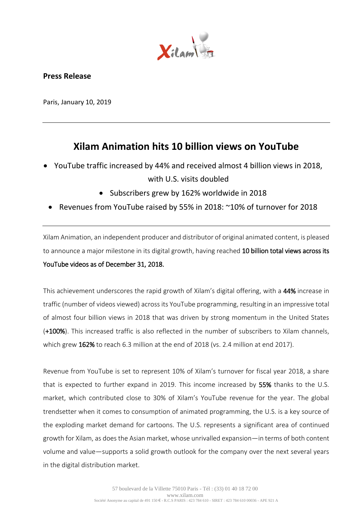

# **Press Release**

Paris, January 10, 2019

# **Xilam Animation hits 10 billion views on YouTube**

- YouTube traffic increased by 44% and received almost 4 billion views in 2018, with U.S. visits doubled
	- Subscribers grew by 162% worldwide in 2018
	- Revenues from YouTube raised by 55% in 2018: ~10% of turnover for 2018

Xilam Animation, an independent producer and distributor of original animated content, is pleased to announce a major milestone in its digital growth, having reached 10 billion total views across its YouTube videos as of December 31, 2018.

This achievement underscores the rapid growth of Xilam's digital offering, with a 44% increase in traffic (number of videos viewed) across its YouTube programming, resulting in an impressive total of almost four billion views in 2018 that was driven by strong momentum in the United States (+100%). This increased traffic is also reflected in the number of subscribers to Xilam channels, which grew 162% to reach 6.3 million at the end of 2018 (vs. 2.4 million at end 2017).

Revenue from YouTube is set to represent 10% of Xilam's turnover for fiscal year 2018, a share that is expected to further expand in 2019. This income increased by 55% thanks to the U.S. market, which contributed close to 30% of Xilam's YouTube revenue for the year. The global trendsetter when it comes to consumption of animated programming, the U.S. is a key source of the exploding market demand for cartoons. The U.S. represents a significant area of continued growth for Xilam, as does the Asian market, whose unrivalled expansion—in terms of both content volume and value—supports a solid growth outlook for the company over the next several years in the digital distribution market.